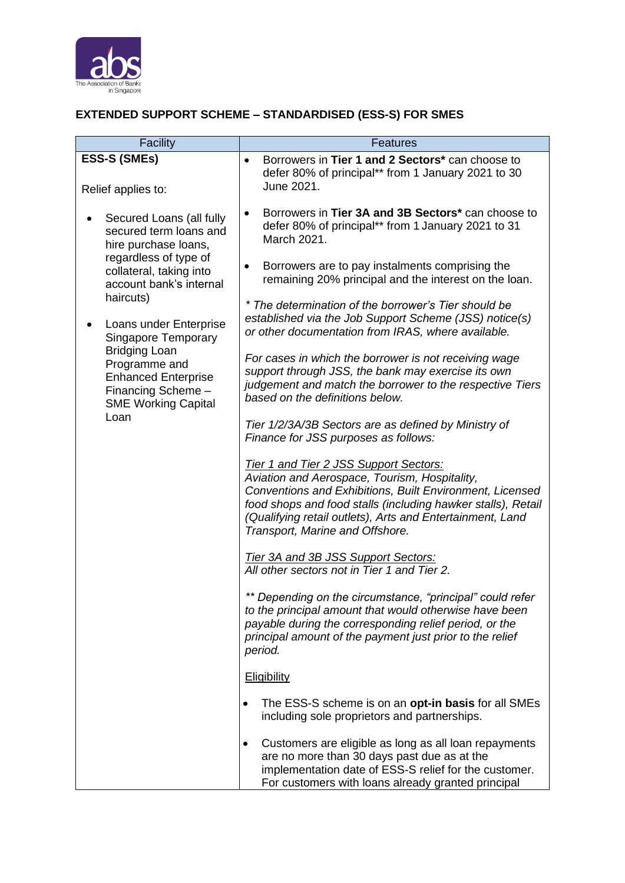

## **EXTENDED SUPPORT SCHEME – STANDARDISED (ESS-S) FOR SMES**

| <b>Facility</b>                                                                                                                                                                 | Features                                                                                                                                                                                                                                                                                                            |
|---------------------------------------------------------------------------------------------------------------------------------------------------------------------------------|---------------------------------------------------------------------------------------------------------------------------------------------------------------------------------------------------------------------------------------------------------------------------------------------------------------------|
| <b>ESS-S (SMEs)</b>                                                                                                                                                             | Borrowers in Tier 1 and 2 Sectors* can choose to<br>defer 80% of principal** from 1 January 2021 to 30                                                                                                                                                                                                              |
| Relief applies to:                                                                                                                                                              | June 2021.                                                                                                                                                                                                                                                                                                          |
| Secured Loans (all fully<br>secured term loans and<br>hire purchase loans,<br>regardless of type of                                                                             | Borrowers in Tier 3A and 3B Sectors* can choose to<br>defer 80% of principal** from 1 January 2021 to 31<br>March 2021.                                                                                                                                                                                             |
| collateral, taking into<br>account bank's internal<br>haircuts)                                                                                                                 | Borrowers are to pay instalments comprising the<br>٠<br>remaining 20% principal and the interest on the loan.                                                                                                                                                                                                       |
| Loans under Enterprise<br><b>Singapore Temporary</b><br><b>Bridging Loan</b><br>Programme and<br><b>Enhanced Enterprise</b><br>Financing Scheme -<br><b>SME Working Capital</b> | * The determination of the borrower's Tier should be<br>established via the Job Support Scheme (JSS) notice(s)<br>or other documentation from IRAS, where available.                                                                                                                                                |
|                                                                                                                                                                                 | For cases in which the borrower is not receiving wage<br>support through JSS, the bank may exercise its own<br>judgement and match the borrower to the respective Tiers<br>based on the definitions below.                                                                                                          |
| Loan                                                                                                                                                                            | Tier 1/2/3A/3B Sectors are as defined by Ministry of<br>Finance for JSS purposes as follows:                                                                                                                                                                                                                        |
|                                                                                                                                                                                 | Tier 1 and Tier 2 JSS Support Sectors:<br>Aviation and Aerospace, Tourism, Hospitality,<br>Conventions and Exhibitions, Built Environment, Licensed<br>food shops and food stalls (including hawker stalls), Retail<br>(Qualifying retail outlets), Arts and Entertainment, Land<br>Transport, Marine and Offshore. |
|                                                                                                                                                                                 | <b>Tier 3A and 3B JSS Support Sectors:</b><br>All other sectors not in Tier 1 and Tier 2.                                                                                                                                                                                                                           |
|                                                                                                                                                                                 | ** Depending on the circumstance, "principal" could refer<br>to the principal amount that would otherwise have been<br>payable during the corresponding relief period, or the<br>principal amount of the payment just prior to the relief<br>period.                                                                |
|                                                                                                                                                                                 | Eligibility                                                                                                                                                                                                                                                                                                         |
|                                                                                                                                                                                 | The ESS-S scheme is on an opt-in basis for all SMEs<br>$\bullet$<br>including sole proprietors and partnerships.                                                                                                                                                                                                    |
|                                                                                                                                                                                 | Customers are eligible as long as all loan repayments<br>$\bullet$<br>are no more than 30 days past due as at the<br>implementation date of ESS-S relief for the customer.<br>For customers with loans already granted principal                                                                                    |